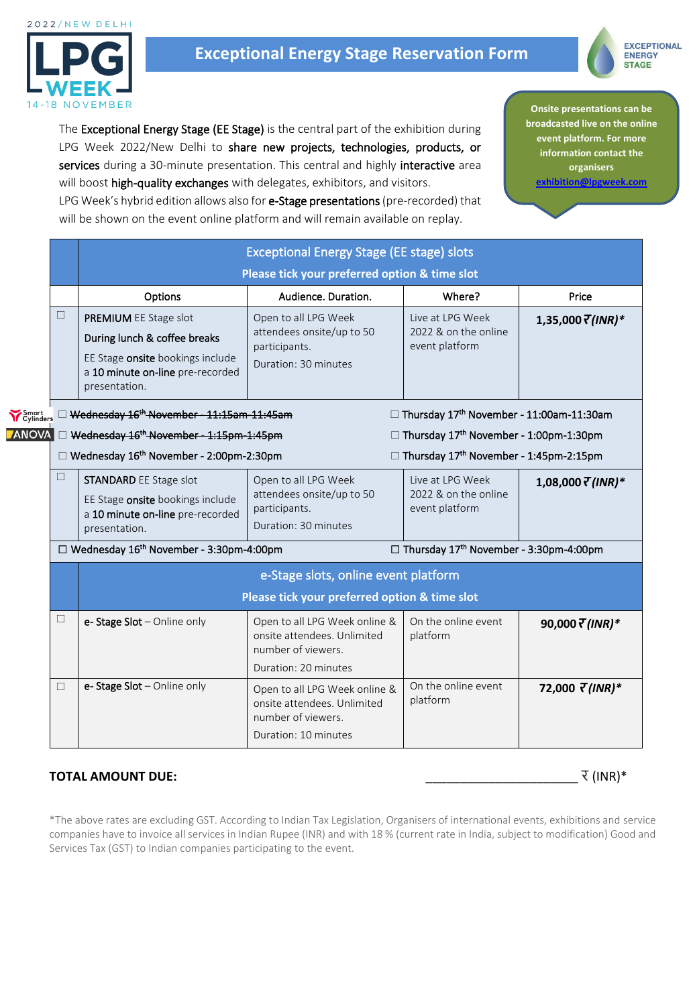

# **Exceptional Energy Stage Reservation Form**



The Exceptional Energy Stage (EE Stage) is the central part of the exhibition during LPG Week 2022/New Delhi to share new projects, technologies, products, or services during a 30-minute presentation. This central and highly interactive area **Onsite presentations can be broadcasted live on the online event platform. For more information contact the organisers [exhibition@lpgweek.com](mailto:exhibition@lpgweek.com)**

will boost high-quality exchanges with delegates, exhibitors, and visitors. LPG Week's hybrid edition allows also for e-Stage presentations (pre-recorded) that will be shown on the event online platform and will remain available on replay.

| <b>Exceptional Energy Stage (EE stage) slots</b>                                                                                               |                                                                                                            |                                                                                                                                                                              |                                                                                                                                                                                                                                                                 |  |  |
|------------------------------------------------------------------------------------------------------------------------------------------------|------------------------------------------------------------------------------------------------------------|------------------------------------------------------------------------------------------------------------------------------------------------------------------------------|-----------------------------------------------------------------------------------------------------------------------------------------------------------------------------------------------------------------------------------------------------------------|--|--|
| Please tick your preferred option & time slot                                                                                                  |                                                                                                            |                                                                                                                                                                              |                                                                                                                                                                                                                                                                 |  |  |
| Options                                                                                                                                        | Audience. Duration.                                                                                        | Where?                                                                                                                                                                       | Price                                                                                                                                                                                                                                                           |  |  |
| PREMIUM EE Stage slot<br>During lunch & coffee breaks<br>EE Stage onsite bookings include<br>a 10 minute on-line pre-recorded<br>presentation. | Open to all LPG Week<br>attendees onsite/up to 50<br>participants.<br>Duration: 30 minutes                 | Live at LPG Week<br>2022 & on the online<br>event platform                                                                                                                   | 1,35,000 $\bar{Y}$ (INR)*                                                                                                                                                                                                                                       |  |  |
|                                                                                                                                                |                                                                                                            |                                                                                                                                                                              |                                                                                                                                                                                                                                                                 |  |  |
| <b>OVA</b><br>Wednesday 16 <sup>th</sup> November - 1:15pm-1:45pm<br>□ Thursday 17 <sup>th</sup> November - 1:00pm-1:30pm                      |                                                                                                            |                                                                                                                                                                              |                                                                                                                                                                                                                                                                 |  |  |
|                                                                                                                                                |                                                                                                            |                                                                                                                                                                              |                                                                                                                                                                                                                                                                 |  |  |
| <b>STANDARD EE Stage slot</b><br>EE Stage onsite bookings include<br>a 10 minute on-line pre-recorded<br>presentation.                         | Open to all LPG Week<br>attendees onsite/up to 50<br>participants.<br>Duration: 30 minutes                 | Live at LPG Week<br>2022 & on the online<br>event platform                                                                                                                   | $1,08,000 \sqrt{T}$ (INR)*                                                                                                                                                                                                                                      |  |  |
|                                                                                                                                                |                                                                                                            |                                                                                                                                                                              |                                                                                                                                                                                                                                                                 |  |  |
|                                                                                                                                                |                                                                                                            |                                                                                                                                                                              |                                                                                                                                                                                                                                                                 |  |  |
| e-Stage Slot - Online only                                                                                                                     | Open to all LPG Week online &<br>onsite attendees. Unlimited<br>number of viewers.<br>Duration: 20 minutes | On the online event<br>platform                                                                                                                                              | 90,000 $\overline{\tau}$ (INR)*                                                                                                                                                                                                                                 |  |  |
| e-Stage Slot - Online only                                                                                                                     | Open to all LPG Week online &<br>onsite attendees. Unlimited<br>number of viewers.<br>Duration: 10 minutes | On the online event<br>platform                                                                                                                                              | 72,000 $\bar{\tau}$ (INR)*                                                                                                                                                                                                                                      |  |  |
|                                                                                                                                                |                                                                                                            | Wednesday 16 <sup>th</sup> November - 11:15am-11:45am<br>□ Wednesday 16 <sup>th</sup> November - 2:00pm-2:30pm<br>$\Box$ Wednesday 16 <sup>th</sup> November - 3:30pm-4:00pm | □ Thursday 17 <sup>th</sup> November - 11:00am-11:30am<br>□ Thursday 17 <sup>th</sup> November - 1:45pm-2:15pm<br>□ Thursday 17 <sup>th</sup> November - 3:30pm-4:00pm<br>e-Stage slots, online event platform<br>Please tick your preferred option & time slot |  |  |

# **TOTAL AMOUNT DUE:** \_\_\_\_\_\_\_\_\_\_\_\_\_\_\_\_\_\_\_\_\_\_ र (INR)\*

\*The above rates are excluding GST. According to Indian Tax Legislation, Organisers of international events, exhibitions and service companies have to invoice all services in Indian Rupee (INR) and with 18 % (current rate in India, subject to modification) Good and Services Tax (GST) to Indian companies participating to the event.